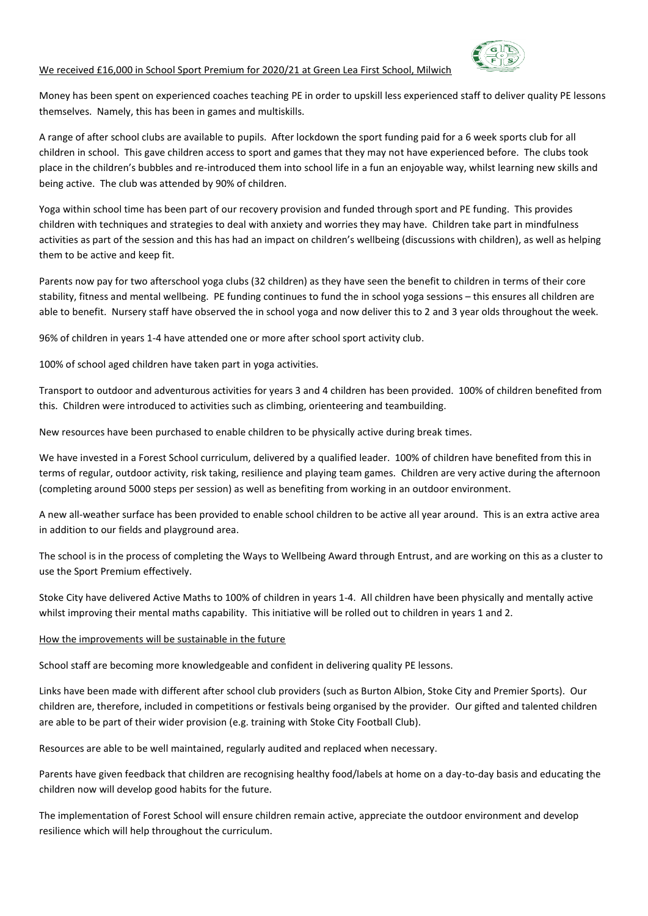## We received £16,000 in School Sport Premium for 2020/21 at Green Lea First School, Milwich



Money has been spent on experienced coaches teaching PE in order to upskill less experienced staff to deliver quality PE lessons themselves. Namely, this has been in games and multiskills.

A range of after school clubs are available to pupils. After lockdown the sport funding paid for a 6 week sports club for all children in school. This gave children access to sport and games that they may not have experienced before. The clubs took place in the children's bubbles and re-introduced them into school life in a fun an enjoyable way, whilst learning new skills and being active. The club was attended by 90% of children.

Yoga within school time has been part of our recovery provision and funded through sport and PE funding. This provides children with techniques and strategies to deal with anxiety and worries they may have. Children take part in mindfulness activities as part of the session and this has had an impact on children's wellbeing (discussions with children), as well as helping them to be active and keep fit.

Parents now pay for two afterschool yoga clubs (32 children) as they have seen the benefit to children in terms of their core stability, fitness and mental wellbeing. PE funding continues to fund the in school yoga sessions – this ensures all children are able to benefit. Nursery staff have observed the in school yoga and now deliver this to 2 and 3 year olds throughout the week.

96% of children in years 1-4 have attended one or more after school sport activity club.

100% of school aged children have taken part in yoga activities.

Transport to outdoor and adventurous activities for years 3 and 4 children has been provided. 100% of children benefited from this. Children were introduced to activities such as climbing, orienteering and teambuilding.

New resources have been purchased to enable children to be physically active during break times.

We have invested in a Forest School curriculum, delivered by a qualified leader. 100% of children have benefited from this in terms of regular, outdoor activity, risk taking, resilience and playing team games. Children are very active during the afternoon (completing around 5000 steps per session) as well as benefiting from working in an outdoor environment.

A new all-weather surface has been provided to enable school children to be active all year around. This is an extra active area in addition to our fields and playground area.

The school is in the process of completing the Ways to Wellbeing Award through Entrust, and are working on this as a cluster to use the Sport Premium effectively.

Stoke City have delivered Active Maths to 100% of children in years 1-4. All children have been physically and mentally active whilst improving their mental maths capability. This initiative will be rolled out to children in years 1 and 2.

## How the improvements will be sustainable in the future

School staff are becoming more knowledgeable and confident in delivering quality PE lessons.

Links have been made with different after school club providers (such as Burton Albion, Stoke City and Premier Sports). Our children are, therefore, included in competitions or festivals being organised by the provider. Our gifted and talented children are able to be part of their wider provision (e.g. training with Stoke City Football Club).

Resources are able to be well maintained, regularly audited and replaced when necessary.

Parents have given feedback that children are recognising healthy food/labels at home on a day-to-day basis and educating the children now will develop good habits for the future.

The implementation of Forest School will ensure children remain active, appreciate the outdoor environment and develop resilience which will help throughout the curriculum.